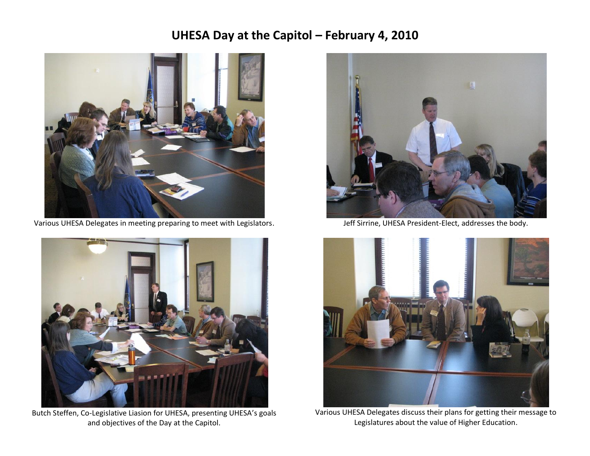## **UHESA Day at the Capitol – February 4, 2010**



Various UHESA Delegates in meeting preparing to meet with Legislators.



Butch Steffen, Co-Legislative Liasion for UHESA, presenting UHESA's goals and objectives of the Day at the Capitol.



Jeff Sirrine, UHESA President-Elect, addresses the body.



Various UHESA Delegates discuss their plans for getting their message to Legislatures about the value of Higher Education.